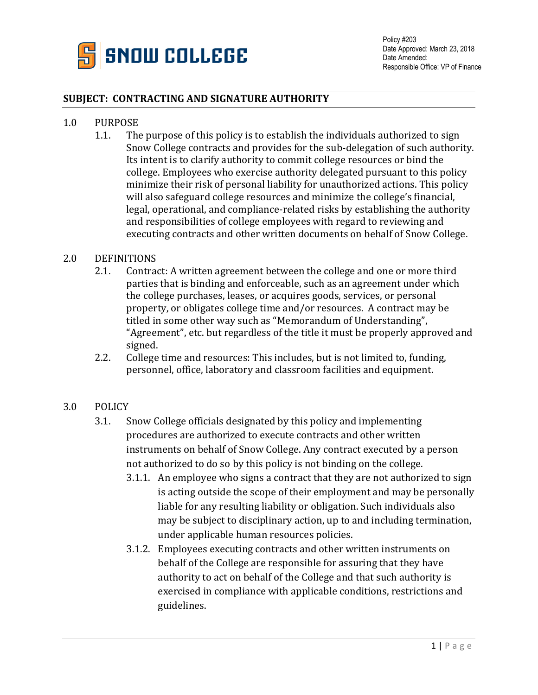

## **SUBJECT: CONTRACTING AND SIGNATURE AUTHORITY**

- 1.0 PURPOSE<br>1.1. The
	- The purpose of this policy is to establish the individuals authorized to sign Snow College contracts and provides for the sub-delegation of such authority. Its intent is to clarify authority to commit college resources or bind the college. Employees who exercise authority delegated pursuant to this policy minimize their risk of personal liability for unauthorized actions. This policy will also safeguard college resources and minimize the college's financial, legal, operational, and compliance-related risks by establishing the authority and responsibilities of college employees with regard to reviewing and executing contracts and other written documents on behalf of Snow College.

## 2.0 DEFINITIONS<br>2.1. Contra

- Contract: A written agreement between the college and one or more third parties that is binding and enforceable, such as an agreement under which the college purchases, leases, or acquires goods, services, or personal property, or obligates college time and/or resources. A contract may be titled in some other way such as "Memorandum of Understanding", "Agreement", etc. but regardless of the title it must be properly approved and signed.
- 2.2. College time and resources: This includes, but is not limited to, funding, personnel, office, laboratory and classroom facilities and equipment.

## 3.0 POLICY

- 3.1. Snow College officials designated by this policy and implementing procedures are authorized to execute contracts and other written instruments on behalf of Snow College. Any contract executed by a person not authorized to do so by this policy is not binding on the college.
	- 3.1.1. An employee who signs a contract that they are not authorized to sign is acting outside the scope of their employment and may be personally liable for any resulting liability or obligation. Such individuals also may be subject to disciplinary action, up to and including termination, under applicable human resources policies.
	- 3.1.2. Employees executing contracts and other written instruments on behalf of the College are responsible for assuring that they have authority to act on behalf of the College and that such authority is exercised in compliance with applicable conditions, restrictions and guidelines.